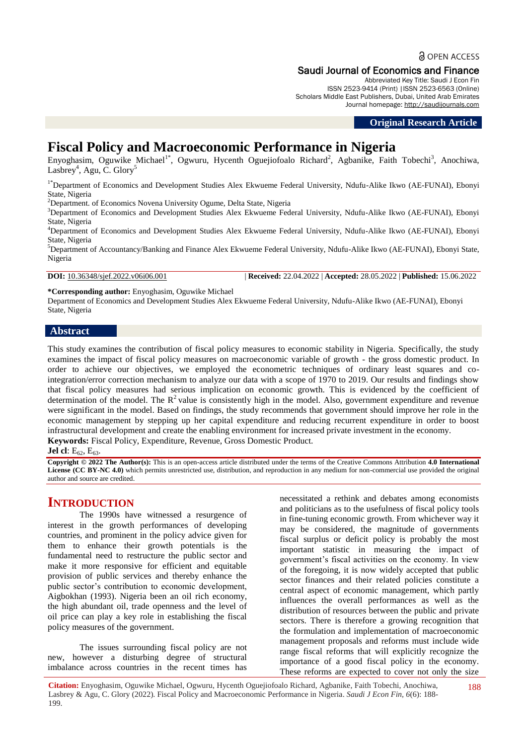# Saudi Journal of Economics and Finance

Abbreviated Key Title: Saudi J Econ Fin ISSN 2523-9414 (Print) |ISSN 2523-6563 (Online) Scholars Middle East Publishers, Dubai, United Arab Emirates Journal homepage: [http://saudijournals.com](http://saudijournals.com/sjef/)

**Original Research Article**

# **Fiscal Policy and Macroeconomic Performance in Nigeria**

Enyoghasim, Oguwike Michael<sup>1\*</sup>, Ogwuru, Hycenth Oguejiofoalo Richard<sup>2</sup>, Agbanike, Faith Tobechi<sup>3</sup>, Anochiwa, Lasbrey<sup>4</sup>, Agu, C. Glory<sup>5</sup>

<sup>1\*</sup>Department of Economics and Development Studies Alex Ekwueme Federal University, Ndufu-Alike Ikwo (AE-FUNAI), Ebonyi State, Nigeria

 $2$ Department. of Economics Novena University Ogume, Delta State, Nigeria

<sup>3</sup>Department of Economics and Development Studies Alex Ekwueme Federal University, Ndufu-Alike Ikwo (AE-FUNAI), Ebonyi State, Nigeria

<sup>4</sup>Department of Economics and Development Studies Alex Ekwueme Federal University, Ndufu-Alike Ikwo (AE-FUNAI), Ebonyi State, Nigeria

<sup>5</sup>Department of Accountancy/Banking and Finance Alex Ekwueme Federal University, Ndufu-Alike Ikwo (AE-FUNAI), Ebonyi State, Nigeria

**DOI:** 10.36348/sjef.2022.v06i06.001 | **Received:** 22.04.2022 | **Accepted:** 28.05.2022 | **Published:** 15.06.2022

**\*Corresponding author:** Enyoghasim, Oguwike Michael

Department of Economics and Development Studies Alex Ekwueme Federal University, Ndufu-Alike Ikwo (AE-FUNAI), Ebonyi State, Nigeria

# **Abstract**

This study examines the contribution of fiscal policy measures to economic stability in Nigeria. Specifically, the study examines the impact of fiscal policy measures on macroeconomic variable of growth - the gross domestic product. In order to achieve our objectives, we employed the econometric techniques of ordinary least squares and cointegration/error correction mechanism to analyze our data with a scope of 1970 to 2019. Our results and findings show that fiscal policy measures had serious implication on economic growth. This is evidenced by the coefficient of determination of the model. The  $R^2$  value is consistently high in the model. Also, government expenditure and revenue were significant in the model. Based on findings, the study recommends that government should improve her role in the economic management by stepping up her capital expenditure and reducing recurrent expenditure in order to boost infrastructural development and create the enabling environment for increased private investment in the economy. **Keywords:** Fiscal Policy, Expenditure, Revenue, Gross Domestic Product.

**Jel cl**: E<sub>62</sub>, E<sub>63</sub>.

**Copyright © 2022 The Author(s):** This is an open-access article distributed under the terms of the Creative Commons Attribution **4.0 International License (CC BY-NC 4.0)** which permits unrestricted use, distribution, and reproduction in any medium for non-commercial use provided the original author and source are credited.

# **INTRODUCTION**

The 1990s have witnessed a resurgence of interest in the growth performances of developing countries, and prominent in the policy advice given for them to enhance their growth potentials is the fundamental need to restructure the public sector and make it more responsive for efficient and equitable provision of public services and thereby enhance the public sector's contribution to economic development, Aigbokhan (1993). Nigeria been an oil rich economy, the high abundant oil, trade openness and the level of oil price can play a key role in establishing the fiscal policy measures of the government.

The issues surrounding fiscal policy are not new, however a disturbing degree of structural imbalance across countries in the recent times has

necessitated a rethink and debates among economists and politicians as to the usefulness of fiscal policy tools in fine-tuning economic growth. From whichever way it may be considered, the magnitude of governments fiscal surplus or deficit policy is probably the most important statistic in measuring the impact of government"s fiscal activities on the economy. In view of the foregoing, it is now widely accepted that public sector finances and their related policies constitute a central aspect of economic management, which partly influences the overall performances as well as the distribution of resources between the public and private sectors. There is therefore a growing recognition that the formulation and implementation of macroeconomic management proposals and reforms must include wide range fiscal reforms that will explicitly recognize the importance of a good fiscal policy in the economy. These reforms are expected to cover not only the size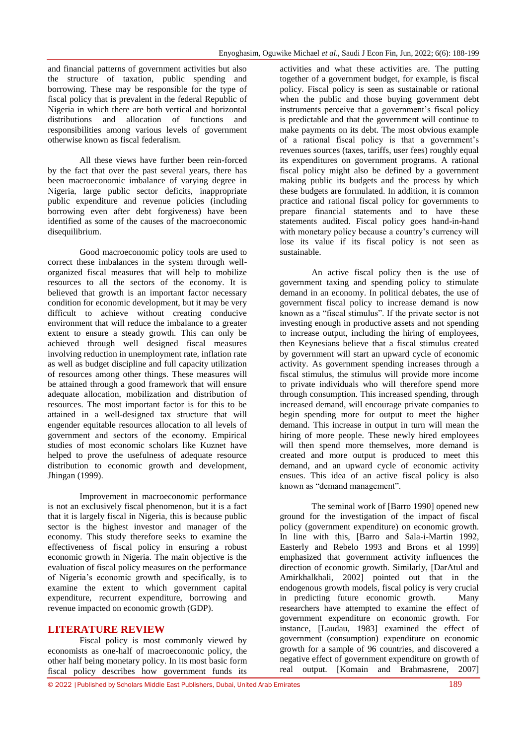and financial patterns of government activities but also the structure of taxation, public spending and borrowing. These may be responsible for the type of fiscal policy that is prevalent in the federal Republic of Nigeria in which there are both vertical and horizontal distributions and allocation of functions and responsibilities among various levels of government otherwise known as fiscal federalism.

All these views have further been rein-forced by the fact that over the past several years, there has been macroeconomic imbalance of varying degree in Nigeria, large public sector deficits, inappropriate public expenditure and revenue policies (including borrowing even after debt forgiveness) have been identified as some of the causes of the macroeconomic disequilibrium.

Good macroeconomic policy tools are used to correct these imbalances in the system through wellorganized fiscal measures that will help to mobilize resources to all the sectors of the economy. It is believed that growth is an important factor necessary condition for economic development, but it may be very difficult to achieve without creating conducive environment that will reduce the imbalance to a greater extent to ensure a steady growth. This can only be achieved through well designed fiscal measures involving reduction in unemployment rate, inflation rate as well as budget discipline and full capacity utilization of resources among other things. These measures will be attained through a good framework that will ensure adequate allocation, mobilization and distribution of resources. The most important factor is for this to be attained in a well-designed tax structure that will engender equitable resources allocation to all levels of government and sectors of the economy. Empirical studies of most economic scholars like Kuznet have helped to prove the usefulness of adequate resource distribution to economic growth and development, Jhingan (1999).

Improvement in macroeconomic performance is not an exclusively fiscal phenomenon, but it is a fact that it is largely fiscal in Nigeria, this is because public sector is the highest investor and manager of the economy. This study therefore seeks to examine the effectiveness of fiscal policy in ensuring a robust economic growth in Nigeria. The main objective is the evaluation of fiscal policy measures on the performance of Nigeria"s economic growth and specifically, is to examine the extent to which government capital expenditure, recurrent expenditure, borrowing and revenue impacted on economic growth (GDP).

# **LITERATURE REVIEW**

Fiscal policy is most commonly viewed by economists as one-half of macroeconomic policy, the other half being monetary policy. In its most basic form fiscal policy describes how government funds its

activities and what these activities are. The putting together of a government budget, for example, is fiscal policy. Fiscal policy is seen as sustainable or rational when the public and those buying government debt instruments perceive that a government's fiscal policy is predictable and that the government will continue to make payments on its debt. The most obvious example of a rational fiscal policy is that a government"s revenues sources (taxes, tariffs, user fees) roughly equal its expenditures on government programs. A rational fiscal policy might also be defined by a government making public its budgets and the process by which these budgets are formulated. In addition, it is common practice and rational fiscal policy for governments to prepare financial statements and to have these statements audited. Fiscal policy goes hand-in-hand with monetary policy because a country's currency will lose its value if its fiscal policy is not seen as sustainable.

An active fiscal policy then is the use of government taxing and spending policy to stimulate demand in an economy. In political debates, the use of government fiscal policy to increase demand is now known as a "fiscal stimulus". If the private sector is not investing enough in productive assets and not spending to increase output, including the hiring of employees, then Keynesians believe that a fiscal stimulus created by government will start an upward cycle of economic activity. As government spending increases through a fiscal stimulus, the stimulus will provide more income to private individuals who will therefore spend more through consumption. This increased spending, through increased demand, will encourage private companies to begin spending more for output to meet the higher demand. This increase in output in turn will mean the hiring of more people. These newly hired employees will then spend more themselves, more demand is created and more output is produced to meet this demand, and an upward cycle of economic activity ensues. This idea of an active fiscal policy is also known as "demand management".

The seminal work of [Barro 1990] opened new ground for the investigation of the impact of fiscal policy (government expenditure) on economic growth. In line with this, [Barro and Sala-i-Martin 1992, Easterly and Rebelo 1993 and Brons et al 1999] emphasized that government activity influences the direction of economic growth. Similarly, [DarAtul and Amirkhalkhali, 2002] pointed out that in the endogenous growth models, fiscal policy is very crucial in predicting future economic growth. Many researchers have attempted to examine the effect of government expenditure on economic growth. For instance, [Laudau, 1983] examined the effect of government (consumption) expenditure on economic growth for a sample of 96 countries, and discovered a negative effect of government expenditure on growth of real output. [Komain and Brahmasrene, 2007]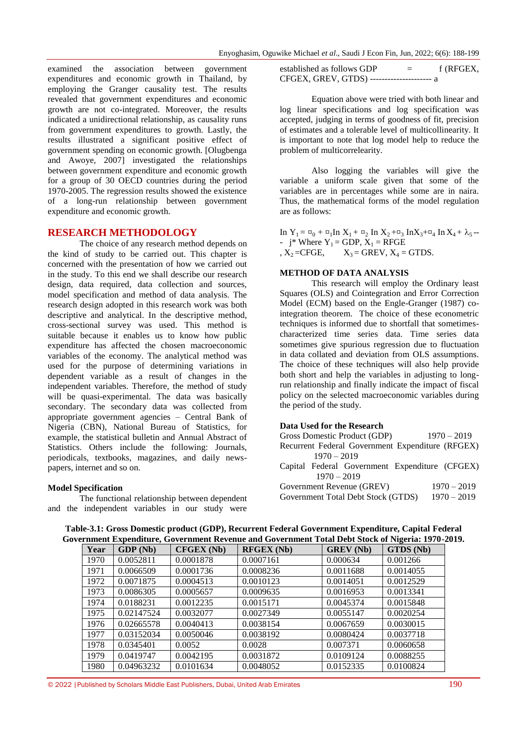examined the association between government expenditures and economic growth in Thailand, by employing the Granger causality test. The results revealed that government expenditures and economic growth are not co-integrated. Moreover, the results indicated a unidirectional relationship, as causality runs from government expenditures to growth. Lastly, the results illustrated a significant positive effect of government spending on economic growth. [Olugbenga and Awoye, 2007] investigated the relationships between government expenditure and economic growth for a group of 30 OECD countries during the period 1970-2005. The regression results showed the existence of a long-run relationship between government expenditure and economic growth.

# **RESEARCH METHODOLOGY**

The choice of any research method depends on the kind of study to be carried out. This chapter is concerned with the presentation of how we carried out in the study. To this end we shall describe our research design, data required, data collection and sources, model specification and method of data analysis. The research design adopted in this research work was both descriptive and analytical. In the descriptive method, cross-sectional survey was used. This method is suitable because it enables us to know how public expenditure has affected the chosen macroeconomic variables of the economy. The analytical method was used for the purpose of determining variations in dependent variable as a result of changes in the independent variables. Therefore, the method of study will be quasi-experimental. The data was basically secondary. The secondary data was collected from appropriate government agencies – Central Bank of Nigeria (CBN), National Bureau of Statistics, for example, the statistical bulletin and Annual Abstract of Statistics. Others include the following: Journals, periodicals, textbooks, magazines, and daily newspapers, internet and so on.

### **Model Specification**

The functional relationship between dependent and the independent variables in our study were established as follows GDP  $=$  f (RFGEX, CFGEX, GREV, GTDS) --------------------- a

Equation above were tried with both linear and log linear specifications and log specification was accepted, judging in terms of goodness of fit, precision of estimates and a tolerable level of multicollinearity. It is important to note that log model help to reduce the problem of multicorrelearity.

Also logging the variables will give the variable a uniform scale given that some of the variables are in percentages while some are in naira. Thus, the mathematical forms of the model regulation are as follows:

In  $Y_1 = \alpha_0 + \alpha_1 \ln X_1 + \alpha_2 \ln X_2 + \alpha_3 \ln X_3 + \alpha_4 \ln X_4 + \lambda_5$ -  $j^*$  Where  $Y_1 = GDP$ ,  $X_1 = RFGE$ ,  $X_2$  =CFGE,  $X_3$  = GREV,  $X_4$  = GTDS.

#### **METHOD OF DATA ANALYSIS**

This research will employ the Ordinary least Squares (OLS) and Cointegration and Error Correction Model (ECM) based on the Engle-Granger (1987) cointegration theorem. The choice of these econometric techniques is informed due to shortfall that sometimescharacterized time series data. Time series data sometimes give spurious regression due to fluctuation in data collated and deviation from OLS assumptions. The choice of these techniques will also help provide both short and help the variables in adjusting to longrun relationship and finally indicate the impact of fiscal policy on the selected macroeconomic variables during the period of the study.

### **Data Used for the Research**

| Gross Domestic Product (GDP)                     | $1970 - 2019$ |
|--------------------------------------------------|---------------|
| Recurrent Federal Government Expenditure (RFGEX) |               |
| $1970 - 2019$                                    |               |
| Capital Federal Government Expenditure (CFGEX)   |               |
| $1970 - 2019$                                    |               |
| Government Revenue (GREV)                        | $1970 - 2019$ |
| Government Total Debt Stock (GTDS)               | $1970 - 2019$ |

Year **GDP** (Nb) **CFGEX** (Nb) **RFGEX** (Nb) **GREV** (Nb) **GTDS** (Nb) 1970 0.0052811 0.0001878 0.0007161 0.000634 0.001266 1971 0.0066509 0.0001736 0.0008236 0.0011688 0.0014055 1972 0.0071875 0.0004513 0.0010123 0.0014051 0.0012529 1973 0.0086305 0.0005657 0.0009635 0.0016953 0.0013341 1974 0.0188231 0.0012235 0.0015171 0.0045374 0.0015848 1975 0.02147524 0.0032077 0.0027349 0.0055147 0.0020254 1976 0.02665578 0.0040413 0.0038154 0.0067659 0.0030015 1977 0.03152034 0.0050046 0.0038192 0.0080424 0.0037718 1978 0.0345401 0.0052 0.0028 0.007371 0.0060658 1979 0.0419747 0.0042195 0.0031872 0.0109124 0.0088255 1980 0.04963232 0.0101634 0.0048052 0.0152335 0.0100824

**Table-3.1: Gross Domestic product (GDP), Recurrent Federal Government Expenditure, Capital Federal Government Expenditure, Government Revenue and Government Total Debt Stock of Nigeria: 1970-2019.**

© 2022 |Published by Scholars Middle East Publishers, Dubai, United Arab Emirates 190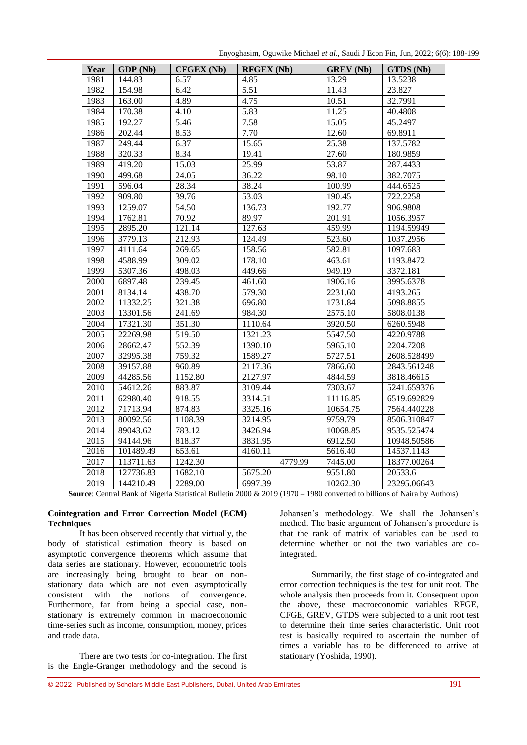Enyoghasim, Oguwike Michael *et al*., Saudi J Econ Fin, Jun, 2022; 6(6): 188-199

| Year | GDP (Nb)  | <b>CFGEX (Nb)</b> | <b>RFGEX (Nb)</b> | <b>GREV</b> (Nb) | GTDS (Nb)   |
|------|-----------|-------------------|-------------------|------------------|-------------|
| 1981 | 144.83    | 6.57              | 4.85              | 13.29            | 13.5238     |
| 1982 | 154.98    | 6.42              | 5.51              | 11.43            | 23.827      |
| 1983 | 163.00    | 4.89              | 4.75              | 10.51            | 32.7991     |
| 1984 | 170.38    | 4.10              | $\overline{5.83}$ | 11.25            | 40.4808     |
| 1985 | 192.27    | 5.46              | 7.58              | 15.05            | 45.2497     |
| 1986 | 202.44    | 8.53              | 7.70              | 12.60            | 69.8911     |
| 1987 | 249.44    | 6.37              | 15.65             | 25.38            | 137.5782    |
| 1988 | 320.33    | 8.34              | 19.41             | 27.60            | 180.9859    |
| 1989 | 419.20    | 15.03             | 25.99             | 53.87            | 287.4433    |
| 1990 | 499.68    | 24.05             | 36.22             | 98.10            | 382.7075    |
| 1991 | 596.04    | 28.34             | 38.24             | 100.99           | 444.6525    |
| 1992 | 909.80    | 39.76             | 53.03             | 190.45           | 722.2258    |
| 1993 | 1259.07   | 54.50             | 136.73            | 192.77           | 906.9808    |
| 1994 | 1762.81   | 70.92             | 89.97             | 201.91           | 1056.3957   |
| 1995 | 2895.20   | 121.14            | 127.63            | 459.99           | 1194.59949  |
| 1996 | 3779.13   | 212.93            | 124.49            | 523.60           | 1037.2956   |
| 1997 | 4111.64   | 269.65            | 158.56            | 582.81           | 1097.683    |
| 1998 | 4588.99   | 309.02            | 178.10            | 463.61           | 1193.8472   |
| 1999 | 5307.36   | 498.03            | 449.66            | 949.19           | 3372.181    |
| 2000 | 6897.48   | 239.45            | 461.60            | 1906.16          | 3995.6378   |
| 2001 | 8134.14   | 438.70            | 579.30            | 2231.60          | 4193.265    |
| 2002 | 11332.25  | 321.38            | 696.80            | 1731.84          | 5098.8855   |
| 2003 | 13301.56  | 241.69            | 984.30            | 2575.10          | 5808.0138   |
| 2004 | 17321.30  | 351.30            | 1110.64           | 3920.50          | 6260.5948   |
| 2005 | 22269.98  | 519.50            | 1321.23           | 5547.50          | 4220.9788   |
| 2006 | 28662.47  | 552.39            | 1390.10           | 5965.10          | 2204.7208   |
| 2007 | 32995.38  | 759.32            | 1589.27           | 5727.51          | 2608.528499 |
| 2008 | 39157.88  | 960.89            | 2117.36           | 7866.60          | 2843.561248 |
| 2009 | 44285.56  | 1152.80           | 2127.97           | 4844.59          | 3818.46615  |
| 2010 | 54612.26  | 883.87            | 3109.44           | 7303.67          | 5241.659376 |
| 2011 | 62980.40  | 918.55            | 3314.51           | 11116.85         | 6519.692829 |
| 2012 | 71713.94  | 874.83            | 3325.16           | 10654.75         | 7564.440228 |
| 2013 | 80092.56  | 1108.39           | 3214.95           | 9759.79          | 8506.310847 |
| 2014 | 89043.62  | 783.12            | 3426.94           | 10068.85         | 9535.525474 |
| 2015 | 94144.96  | 818.37            | 3831.95           | 6912.50          | 10948.50586 |
| 2016 | 101489.49 | 653.61            | 4160.11           | 5616.40          | 14537.1143  |
| 2017 | 113711.63 | 1242.30           | 4779.99           | 7445.00          | 18377.00264 |
| 2018 | 127736.83 | 1682.10           | 5675.20           | 9551.80          | 20533.6     |
| 2019 | 144210.49 | 2289.00           | 6997.39           | 10262.30         | 23295.06643 |

**Source**: Central Bank of Nigeria Statistical Bulletin 2000 & 2019 (1970 – 1980 converted to billions of Naira by Authors)

# **Cointegration and Error Correction Model (ECM) Techniques**

It has been observed recently that virtually, the body of statistical estimation theory is based on asymptotic convergence theorems which assume that data series are stationary. However, econometric tools are increasingly being brought to bear on nonstationary data which are not even asymptotically consistent with the notions of convergence. Furthermore, far from being a special case, nonstationary is extremely common in macroeconomic time-series such as income, consumption, money, prices and trade data.

There are two tests for co-integration. The first is the Engle-Granger methodology and the second is

Johansen"s methodology. We shall the Johansen"s method. The basic argument of Johansen's procedure is that the rank of matrix of variables can be used to determine whether or not the two variables are cointegrated.

Summarily, the first stage of co-integrated and error correction techniques is the test for unit root. The whole analysis then proceeds from it. Consequent upon the above, these macroeconomic variables RFGE, CFGE, GREV, GTDS were subjected to a unit root test to determine their time series characteristic. Unit root test is basically required to ascertain the number of times a variable has to be differenced to arrive at stationary (Yoshida, 1990).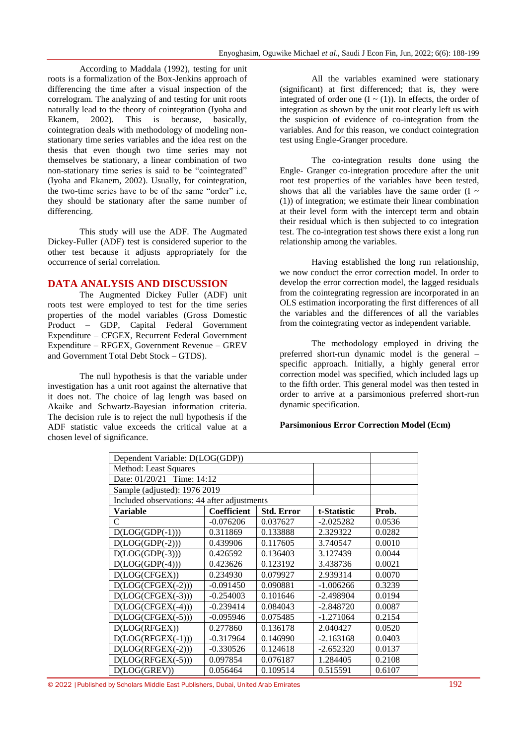According to Maddala (1992), testing for unit roots is a formalization of the Box-Jenkins approach of differencing the time after a visual inspection of the correlogram. The analyzing of and testing for unit roots naturally lead to the theory of cointegration (Iyoha and Ekanem, 2002). This is because, basically, cointegration deals with methodology of modeling nonstationary time series variables and the idea rest on the thesis that even though two time series may not themselves be stationary, a linear combination of two non-stationary time series is said to be "cointegrated" (Iyoha and Ekanem, 2002). Usually, for cointegration, the two-time series have to be of the same "order" i.e, they should be stationary after the same number of differencing.

This study will use the ADF. The Augmated Dickey-Fuller (ADF) test is considered superior to the other test because it adjusts appropriately for the occurrence of serial correlation.

# **DATA ANALYSIS AND DISCUSSION**

The Augmented Dickey Fuller (ADF) unit roots test were employed to test for the time series properties of the model variables (Gross Domestic Product – GDP, Capital Federal Government Expenditure – CFGEX, Recurrent Federal Government Expenditure – RFGEX, Government Revenue – GREV and Government Total Debt Stock – GTDS).

The null hypothesis is that the variable under investigation has a unit root against the alternative that it does not. The choice of lag length was based on Akaike and Schwartz-Bayesian information criteria. The decision rule is to reject the null hypothesis if the ADF statistic value exceeds the critical value at a chosen level of significance.

All the variables examined were stationary (significant) at first differenced; that is, they were integrated of order one  $(I \sim (1))$ . In effects, the order of integration as shown by the unit root clearly left us with the suspicion of evidence of co-integration from the variables. And for this reason, we conduct cointegration test using Engle-Granger procedure.

The co-integration results done using the Engle- Granger co-integration procedure after the unit root test properties of the variables have been tested, shows that all the variables have the same order  $(I \sim$ (1)) of integration; we estimate their linear combination at their level form with the intercept term and obtain their residual which is then subjected to co integration test. The co-integration test shows there exist a long run relationship among the variables.

Having established the long run relationship, we now conduct the error correction model. In order to develop the error correction model, the lagged residuals from the cointegrating regression are incorporated in an OLS estimation incorporating the first differences of all the variables and the differences of all the variables from the cointegrating vector as independent variable.

The methodology employed in driving the preferred short-run dynamic model is the general – specific approach. Initially, a highly general error correction model was specified, which included lags up to the fifth order. This general model was then tested in order to arrive at a parsimonious preferred short-run dynamic specification.

# **Parsimonious Error Correction Model (Ecm)**

| Dependent Variable: D(LOG(GDP))             |             |                   |             |        |
|---------------------------------------------|-------------|-------------------|-------------|--------|
| Method: Least Squares                       |             |                   |             |        |
| Date: 01/20/21<br>Time: 14:12               |             |                   |             |        |
| Sample (adjusted): 1976 2019                |             |                   |             |        |
| Included observations: 44 after adjustments |             |                   |             |        |
| Variable                                    | Coefficient | <b>Std. Error</b> | t-Statistic | Prob.  |
| C                                           | $-0.076206$ | 0.037627          | $-2.025282$ | 0.0536 |
| $D(LOG(GDP(-1)))$                           | 0.311869    | 0.133888          | 2.329322    | 0.0282 |
| $D(LOG(GDP(-2)))$                           | 0.439906    | 0.117605          | 3.740547    | 0.0010 |
| $D(LOG(GDP(-3)))$                           | 0.426592    | 0.136403          | 3.127439    | 0.0044 |
| $D(LOG(GDP(-4)))$                           | 0.423626    | 0.123192          | 3.438736    | 0.0021 |
| D(LOG(CFGEX))                               | 0.234930    | 0.079927          | 2.939314    | 0.0070 |
| $D(LOG(CFGEX(-2)))$                         | $-0.091450$ | 0.090881          | $-1.006266$ | 0.3239 |
| $D(LOG(CFGEX(-3)))$                         | $-0.254003$ | 0.101646          | -2.498904   | 0.0194 |
| $D(LOG(CFGEX(-4)))$                         | $-0.239414$ | 0.084043          | $-2.848720$ | 0.0087 |
| $D(LOG(CFGEX(-5)))$                         | $-0.095946$ | 0.075485          | $-1.271064$ | 0.2154 |
| D(LOG(RFGEX))                               | 0.277860    | 0.136178          | 2.040427    | 0.0520 |
| $D(LOG(RFGEX(-1)))$                         | $-0.317964$ | 0.146990          | $-2.163168$ | 0.0403 |
| $D(LOG(RFGEX(-2)))$                         | $-0.330526$ | 0.124618          | $-2.652320$ | 0.0137 |
| $D(LOG(RFGEX(-5)))$                         | 0.097854    | 0.076187          | 1.284405    | 0.2108 |
| D(LOG(GREV))                                | 0.056464    | 0.109514          | 0.515591    | 0.6107 |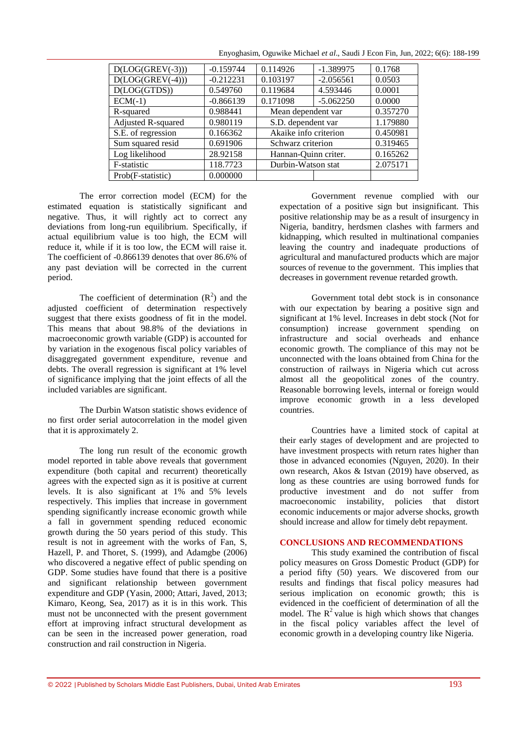| $D(LOG(GREV(-3)))$ | $-0.159744$ | 0.114926              | $-1.389975$ | 0.1768   |
|--------------------|-------------|-----------------------|-------------|----------|
| $D(LOG(GREV(-4)))$ | $-0.212231$ | 0.103197              | $-2.056561$ | 0.0503   |
| D (LOG (G TDS))    | 0.549760    | 0.119684              | 4.593446    | 0.0001   |
| $ECM(-1)$          | $-0.866139$ | 0.171098              | $-5.062250$ | 0.0000   |
| R-squared          | 0.988441    | Mean dependent var    |             | 0.357270 |
| Adjusted R-squared | 0.980119    | S.D. dependent var    |             | 1.179880 |
| S.E. of regression | 0.166362    | Akaike info criterion |             | 0.450981 |
| Sum squared resid  | 0.691906    | Schwarz criterion     |             | 0.319465 |
| Log likelihood     | 28.92158    | Hannan-Quinn criter.  |             | 0.165262 |
| F-statistic        | 118.7723    | Durbin-Watson stat    |             | 2.075171 |
| Prob(F-statistic)  | 0.000000    |                       |             |          |
|                    |             |                       |             |          |

Enyoghasim, Oguwike Michael *et al*., Saudi J Econ Fin, Jun, 2022; 6(6): 188-199

The error correction model (ECM) for the estimated equation is statistically significant and negative. Thus, it will rightly act to correct any deviations from long-run equilibrium. Specifically, if actual equilibrium value is too high, the ECM will reduce it, while if it is too low, the ECM will raise it. The coefficient of -0.866139 denotes that over 86.6% of any past deviation will be corrected in the current period.

The coefficient of determination  $(R^2)$  and the adjusted coefficient of determination respectively suggest that there exists goodness of fit in the model. This means that about 98.8% of the deviations in macroeconomic growth variable (GDP) is accounted for by variation in the exogenous fiscal policy variables of disaggregated government expenditure, revenue and debts. The overall regression is significant at 1% level of significance implying that the joint effects of all the included variables are significant.

The Durbin Watson statistic shows evidence of no first order serial autocorrelation in the model given that it is approximately 2.

The long run result of the economic growth model reported in table above reveals that government expenditure (both capital and recurrent) theoretically agrees with the expected sign as it is positive at current levels. It is also significant at 1% and 5% levels respectively. This implies that increase in government spending significantly increase economic growth while a fall in government spending reduced economic growth during the 50 years period of this study. This result is not in agreement with the works of Fan, S, Hazell, P. and Thoret, S. (1999), and Adamgbe (2006) who discovered a negative effect of public spending on GDP. Some studies have found that there is a positive and significant relationship between government expenditure and GDP (Yasin, 2000; Attari, Javed, 2013; Kimaro, Keong, Sea, 2017) as it is in this work. This must not be unconnected with the present government effort at improving infract structural development as can be seen in the increased power generation, road construction and rail construction in Nigeria.

Government revenue complied with our expectation of a positive sign but insignificant. This positive relationship may be as a result of insurgency in Nigeria, banditry, herdsmen clashes with farmers and kidnapping, which resulted in multinational companies leaving the country and inadequate productions of agricultural and manufactured products which are major sources of revenue to the government. This implies that decreases in government revenue retarded growth.

Government total debt stock is in consonance with our expectation by bearing a positive sign and significant at 1% level. Increases in debt stock (Not for consumption) increase government spending on infrastructure and social overheads and enhance economic growth. The compliance of this may not be unconnected with the loans obtained from China for the construction of railways in Nigeria which cut across almost all the geopolitical zones of the country. Reasonable borrowing levels, internal or foreign would improve economic growth in a less developed countries.

Countries have a limited stock of capital at their early stages of development and are projected to have investment prospects with return rates higher than those in advanced economies (Nguyen, 2020). In their own research, Akos & Istvan (2019) have observed, as long as these countries are using borrowed funds for productive investment and do not suffer from macroeconomic instability, policies that distort economic inducements or major adverse shocks, growth should increase and allow for timely debt repayment.

### **CONCLUSIONS AND RECOMMENDATIONS**

This study examined the contribution of fiscal policy measures on Gross Domestic Product (GDP) for a period fifty (50) years. We discovered from our results and findings that fiscal policy measures had serious implication on economic growth; this is evidenced in the coefficient of determination of all the model. The  $R^2$  value is high which shows that changes in the fiscal policy variables affect the level of economic growth in a developing country like Nigeria.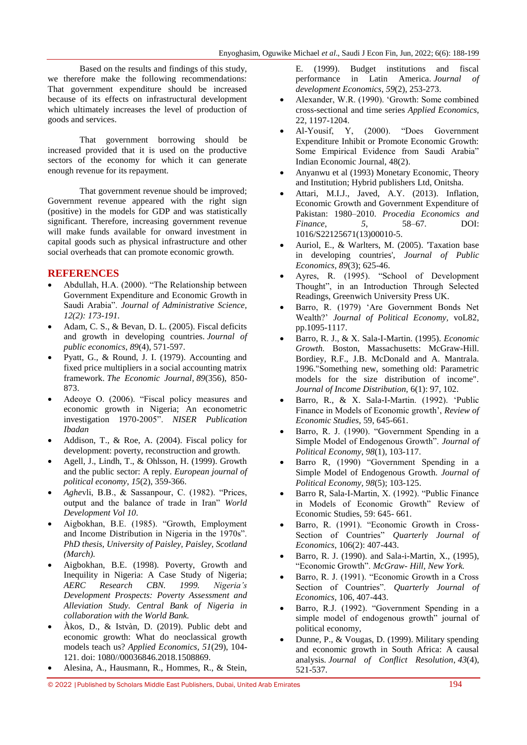Based on the results and findings of this study, we therefore make the following recommendations: That government expenditure should be increased because of its effects on infrastructural development which ultimately increases the level of production of goods and services.

That government borrowing should be increased provided that it is used on the productive sectors of the economy for which it can generate enough revenue for its repayment.

That government revenue should be improved; Government revenue appeared with the right sign (positive) in the models for GDP and was statistically significant. Therefore, increasing government revenue will make funds available for onward investment in capital goods such as physical infrastructure and other social overheads that can promote economic growth.

# **REFERENCES**

- Abdullah, H.A. (2000). "The Relationship between Government Expenditure and Economic Growth in Saudi Arabia". *Journal of Administrative Science, 12(2): 173-191.*
- Adam, C. S., & Bevan, D. L. (2005). Fiscal deficits and growth in developing countries. *Journal of public economics*, *89*(4), 571-597.
- Pyatt, G., & Round, J. I. (1979). Accounting and fixed price multipliers in a social accounting matrix framework. *The Economic Journal*, *89*(356), 850- 873.
- Adeoye O. (2006). "Fiscal policy measures and economic growth in Nigeria; An econometric investigation 1970-2005". *NISER Publication Ibadan*
- Addison, T., & Roe, A. (2004). Fiscal policy for development: poverty, reconstruction and growth.
- Agell, J., Lindh, T., & Ohlsson, H. (1999). Growth and the public sector: A reply. *European journal of political economy*, *15*(2), 359-366.
- *Aghe*vli, B.B., & Sassanpour, C. (1982). "Prices, output and the balance of trade in Iran" *World Development Vol 10*.
- Aigbokhan, B.E. (1985). "Growth, Employment and Income Distribution in Nigeria in the 1970s". *PhD thesis, University of Paisley, Paisley, Scotland (March).*
- Aigbokhan, B.E. (1998). Poverty, Growth and Inequility in Nigeria: A Case Study of Nigeria; *AERC Research CBN. 1999. Nigeria's Development Prospects: Poverty Assessment and Alleviation Study. Central Bank of Nigeria in collaboration with the World Bank.*
- Àkos, D., & Istvàn, D. (2019). Public debt and economic growth: What do neoclassical growth models teach us? *Applied Economics, 51*(29), 104- 121. doi: 1080//00036846.2018.1508869.
- Alesina, A., Hausmann, R., Hommes, R., & Stein,

E. (1999). Budget institutions and fiscal performance in Latin America. *Journal of development Economics*, *59*(2), 253-273.

- Alexander, W.R. (1990). "Growth: Some combined cross-sectional and time series *Applied Economics,*  22, 1197-1204.
- Al-Yousif, Y, (2000). "Does Government Expenditure Inhibit or Promote Economic Growth: Some Empirical Evidence from Saudi Arabia" Indian Economic Journal, 48(2).
- Anyanwu et al (1993) Monetary Economic, Theory and Institution; Hybrid publishers Ltd, Onitsha.
- Attari, M.I.J., Javed, A.Y. (2013). Inflation, Economic Growth and Government Expenditure of Pakistan: 1980–2010. *Procedia Economics and Finance*, *5*, 58–67. DOI: 1016/S22125671(13)00010-5.
- Auriol, E., & Warlters, M. (2005). 'Taxation base in developing countries', *Journal of Public Economics, 89*(3); 625-46.
- Ayres, R. (1995). "School of Development Thought", in an Introduction Through Selected Readings, Greenwich University Press UK.
- Barro, R. (1979) "Are Government Bonds Net Wealth?" *Journal of Political Economy,* voL82, pp.1095-1117.
- Barro, R. J., & X. Sala-I-Martin. (1995). *Economic Growth.* Boston, Massachusetts: McGraw-Hill. Bordiey, R.F., J.B. McDonald and A. Mantrala. 1996."Something new, something old: Parametric models for the size distribution of income". *Journal of Income Distribution,* 6(1): 97, 102.
- Barro, R., & X. Sala-I-Martin. (1992). "Public Finance in Models of Economic growth', *Review of Economic Studies*, 59, 645-661.
- Barro, R. J. (1990). "Government Spending in a Simple Model of Endogenous Growth". *Journal of Political Economy*, *98*(1), 103-117.
- Barro R, (1990) "Government Spending in a Simple Model of Endogenous Growth. *Journal of Political Economy, 98*(5); 103-125.
- Barro R, Sala-I-Martin, X. (1992). "Public Finance in Models of Economic Growth" Review of Economic Studies, 59: 645- 661.
- Barro, R. (1991). "Economic Growth in Cross-Section of Countries" *Quarterly Journal of Economics*, 106(2): 407-443.
- Barro, R. J. (1990). and Sala-i-Martin, X., (1995), "Economic Growth". *McGraw- Hill, New York.*
- Barro, R. J. (1991). "Economic Growth in a Cross Section of Countries". *Quarterly Journal of Economics,* 106, 407-443.
- Barro, R.J. (1992). "Government Spending in a simple model of endogenous growth" journal of political economy,
- Dunne, P., & Vougas, D. (1999). Military spending and economic growth in South Africa: A causal analysis. *Journal of Conflict Resolution*, *43*(4), 521-537.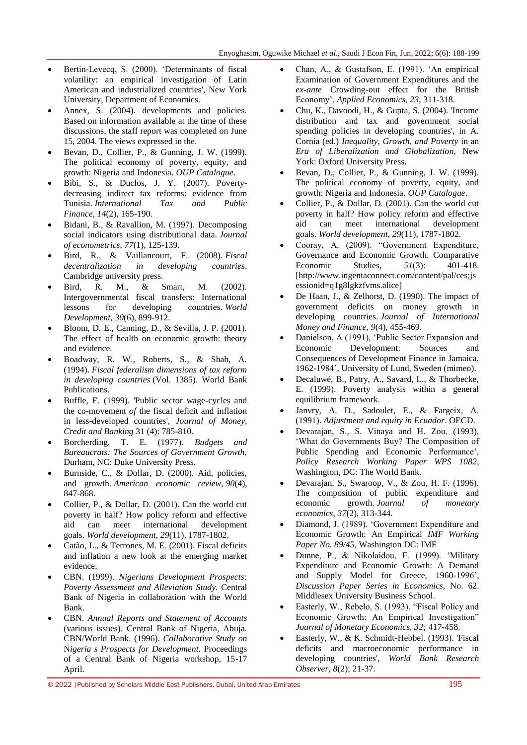- Bertin-Levecq, S. (2000). "Determinants of fiscal volatility: an empirical investigation of Latin American and industrialized countries', New York University, Department of Economics.
- Annex, S. (2004). developments and policies. Based on information available at the time of these discussions, the staff report was completed on June 15, 2004. The views expressed in the.
- Bevan, D., Collier, P., & Gunning, J. W. (1999). The political economy of poverty, equity, and growth: Nigeria and Indonesia. *OUP Catalogue*.
- Bibi, S., & Duclos, J. Y. (2007). Povertydecreasing indirect tax reforms: evidence from Tunisia. *International Tax and Public Finance*, *14*(2), 165-190.
- Bidani, B., & Ravallion, M. (1997). Decomposing social indicators using distributional data. *Journal of econometrics*, *77*(1), 125-139.
- Bird, R., & Vaillancourt, F. (2008). *Fiscal decentralization in developing countries*. Cambridge university press.
- Bird, R. M., & Smart, M. (2002). Intergovernmental fiscal transfers: International lessons for developing countries. *World Development*, *30*(6), 899-912.
- Bloom, D. E., Canning, D., & Sevilla, J. P. (2001). The effect of health on economic growth: theory and evidence.
- Boadway, R. W., Roberts, S., & Shah, A. (1994). *Fiscal federalism dimensions of tax reform in developing countries* (Vol. 1385). World Bank Publications.
- Buffle, E. (1999). 'Public sector wage-cycles and the co-movement *of* the fiscal deficit and inflation in less-developed countries', *Journal of Money, Credit and Banking* 31 (4): 785-810.
- Borcherding, T. E. (1977). *Budgets and Bureaucrats: The Sources of Government Growth*, Durham, NC: Duke University Press.
- Burnside, C., & Dollar, D. (2000). Aid, policies, and growth. *American economic review*, *90*(4), 847-868.
- Collier, P., & Dollar, D. (2001). Can the world cut poverty in half? How policy reform and effective aid can meet international development goals. *World development*, *29*(11), 1787-1802.
- Catão, L., & Terrones, M. E. (2001). Fiscal deficits and inflation a new look at the emerging market evidence.
- CBN. (1999). *Nigerians Development Prospects: Poverty Assessment and Alleviation Study.* Central Bank of Nigeria in collaboration with the World Bank.
- CBN. *Annual Reports and Statement of Accounts*  (various issues). Central Bank of Nigeria, Abuja. CBN/World Bank. (1996). *Collaborative Study on*  N*igeria s Prospects for Development.* Proceedings of a Central Bank of Nigeria workshop, 15-17 April.
- Chan, A., & Gustafson, E. (1991). "An empirical Examination of Government Expenditures and the *ex-ante* Crowding-out effect for the British Economy", *Applied Economics, 23*, 311-318.
- Chu, K., Davoodi, H., & Gupta, S. (2004). 'Income distribution and tax and government social spending policies in developing countries', in A. Cornia (ed.) *Inequality, Growth, and Poverty* in an *Era of Liberalization and Globalization,* New York: Oxford University Press.
- Bevan, D., Collier, P., & Gunning, J. W. (1999). The political economy of poverty, equity, and growth: Nigeria and Indonesia. *OUP Catalogue*.
- Collier, P., & Dollar, D. (2001). Can the world cut poverty in half? How policy reform and effective aid can meet international development goals. *World development*, *29*(11), 1787-1802.
- Cooray, A. (2009). "Government Expenditure, Governance and Economic Growth. Comparative Economic Studies, *51*(3): 401-418. [http://www.ingentaconnect.com/content/pal/ces;js essionid=q1g8lgkzfvms.alice]
- De Haan, J., & Zelhorst, D. (1990). The impact of government deficits on money growth in developing countries. *Journal of International Money and Finance*, *9*(4), 455-469.
- Danielson, A (1991), "Public Sector Expansion and Economic Development: Sources and Consequences of Development Finance in Jamaica, 1962-1984"*,* University of Lund, Sweden (mimeo).
- Decaluwé, B., Patry, A., Savard, L., & Thorbecke, E. (1999). Poverty analysis within a general equilibrium framework.
- Janvry, A. D., Sadoulet, E., & Fargeix, A. (1991). *Adjustment and equity in Ecuador*. OECD.
- Devarajan, S., S. Vinaya and H. Zou. (1993), 'What do Governments Buy? The Composition of Public Spending and Economic Performance', *Policy Research Working Paper WPS 1082*, Washington, DC: The World Bank.
- Devarajan, S., Swaroop, V., & Zou, H. F. (1996). The composition of public expenditure and economic growth. *Journal of monetary economics*, *37*(2), 313-344.
- Diamond, J. (1989). "Government Expenditure and Economic Growth: An Empirical *IMF Working Paper No. 89/45*, Washington DC: IMF
- Dunne, P., & Nikolaidou, E. (1999). "Military Expenditure and Economic Growth: A Demand and Supply Model for Greece, 1960-1996", *Discussion Paper Series in Economics,* No. 62. Middlesex University Business School.
- Easterly, W., Rebelo, S. (1993). "Fiscal Policy and Economic Growth: An Empirical Investigation" *Journal of Monetary Economics, 32;* 417-458.
- Easterly, W., & K. Schmidt-Hebbel. (1993). 'Fiscal deficits and macroeconomic performance in developing countries', *World Bank Research Observer, 8*(2); 21-37.

© 2022 |Published by Scholars Middle East Publishers, Dubai, United Arab Emirates 195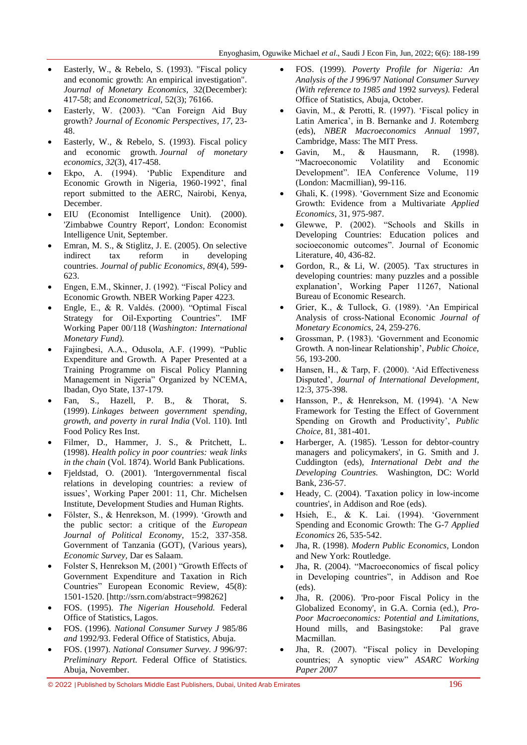- Easterly, W., & Rebelo, S. (1993). "Fiscal policy and economic growth: An empirical investigation". *Journal of Monetary Economics,* 32(December): 417-58; and *Econometrical,* 52(3); 76166.
- Easterly, W. (2003). "Can Foreign Aid Buy growth? *Journal of Economic Perspectives*, *17*, 23- 48.
- Easterly, W., & Rebelo, S. (1993). Fiscal policy and economic growth. *Journal of monetary economics*, *32*(3), 417-458.
- Ekpo, A. (1994). "Public Expenditure and Economic Growth in Nigeria, 1960-1992', final report submitted to the AERC, Nairobi, Kenya, December.
- EIU (Economist Intelligence Unit). (2000). 'Zimbabwe Country Report', London: Economist Intelligence Unit, September.
- Emran, M. S., & Stiglitz, J. E. (2005). On selective indirect tax reform in developing countries. *Journal of public Economics*, *89*(4), 599- 623.
- Engen, E.M., Skinner, J. (1992). "Fiscal Policy and Economic Growth. NBER Working Paper 4223.
- Engle, E., & R. Valdés. (2000). "Optimal Fiscal Strategy for Oil-Exporting Countries". IMF Working Paper 00/118 (*Washington: International Monetary Fund).*
- Fajingbesi, A.A., Odusola, A.F. (1999). "Public Expenditure and Growth. A Paper Presented at a Training Programme on Fiscal Policy Planning Management in Nigeria" Organized by NCEMA, Ibadan, Oyo State, 137-179.
- Fan, S., Hazell, P. B., & Thorat, S. (1999). *Linkages between government spending, growth, and poverty in rural India* (Vol. 110). Intl Food Policy Res Inst.
- Filmer, D., Hammer, J. S., & Pritchett, L. (1998). *Health policy in poor countries: weak links in the chain* (Vol. 1874). World Bank Publications.
- Fjeldstad, O. (2001). 'Intergovernmental fiscal relations in developing countries: a review of issues', Working Paper 2001: 11, Chr. Michelsen Institute, Development Studies and Human Rights.
- Fölster, S., & Henrekson, M. (1999). "Growth and the public sector: a critique of the *European Journal of Political Economy*, 15:2, 337-358. Government of Tanzania (GOT), (Various years), *Economic Survey,* Dar es Salaam.
- Folster S, Henrekson M, (2001) "Growth Effects of Government Expenditure and Taxation in Rich Countries" European Economic Review, 45(8): 1501-1520. [http://ssrn.com/abstract=998262]
- FOS. (1995). *The Nigerian Household.* Federal Office of Statistics, Lagos.
- FOS. (1996). *National Consumer Survey J* 985/86 *and* 1992/93. Federal Office of Statistics, Abuja.
- FOS. (1997). *National Consumer Survey. J* 996/97: *Preliminary Report.* Federal Office of Statistics. Abuja, November.
- FOS. (1999). *Poverty Profile for Nigeria: An Analysis of the J* 996/97 *National Consumer Survey (With reference to 1985 and* 1992 *surveys).* Federal Office of Statistics, Abuja, October.
- Gavin, M., & Perotti, R. (1997). "Fiscal policy in Latin America', in B. Bernanke and J. Rotemberg (eds), *NBER Macroeconomics Annual* 1997, Cambridge, Mass: The MIT Press.
- Gavin, M., & Hausmann, R. (1998). "Macroeconomic Volatility and Economic Development". IEA Conference Volume, 119 (London: Macmillian), 99-116.
- Ghali, K. (1998). "Government Size and Economic Growth: Evidence from a Multivariate *Applied Economics*, 31, 975-987.
- Glewwe, P. (2002). "Schools and Skills in Developing Countries: Education polices and socioeconomic outcomes". Journal of Economic Literature, 40, 436-82.
- Gordon, R., & Li, W. (2005). 'Tax structures in developing countries: many puzzles and a possible explanation", Working Paper 11267, National Bureau of Economic Research.
- Grier, K., & Tullock, G. (1989). "An Empirical Analysis of cross-National Economic *Journal of Monetary Economics,* 24, 259-276.
- Grossman, P. (1983). "Government and Economic Growth. A non-linear Relationship", *Public Choice,*  56, 193-200.
- Hansen, H., & Tarp, F. (2000). "Aid Effectiveness Disputed", *Journal of International Development*, 12:3, 375-398.
- Hansson, P., & Henrekson, M. (1994). "A New Framework for Testing the Effect of Government Spending on Growth and Productivity', *Public Choice,* 81, 381-401.
- Harberger, A. (1985). 'Lesson for debtor-country managers and policymakers', in G. Smith and J. Cuddington (eds), *International Debt and the Developing Countries.* Washington, DC: World Bank, 236-57.
- Heady, C. (2004). 'Taxation policy in low-income countries', in Addison and Roe (eds).
- Hsieh, E., & K. Lai. (1994). "Government Spending and Economic Growth: The G-7 *Applied Economics* 26, 535-542.
- Jha, R. (1998). *Modern Public Economics,* London and New York: Routledge.
- Jha, R. (2004). "Macroeconomics of fiscal policy in Developing countries", in Addison and Roe (eds).
- Jha, R. (2006). 'Pro-poor Fiscal Policy in the Globalized Economy', in G.A. Cornia (ed.), *Pro-Poor Macroeconomics: Potential and Limitations,*  Hound mills, and Basingstoke: Pal grave Macmillan.
- Jha, R. (2007). "Fiscal policy in Developing countries; A synoptic view" *ASARC Working Paper 2007*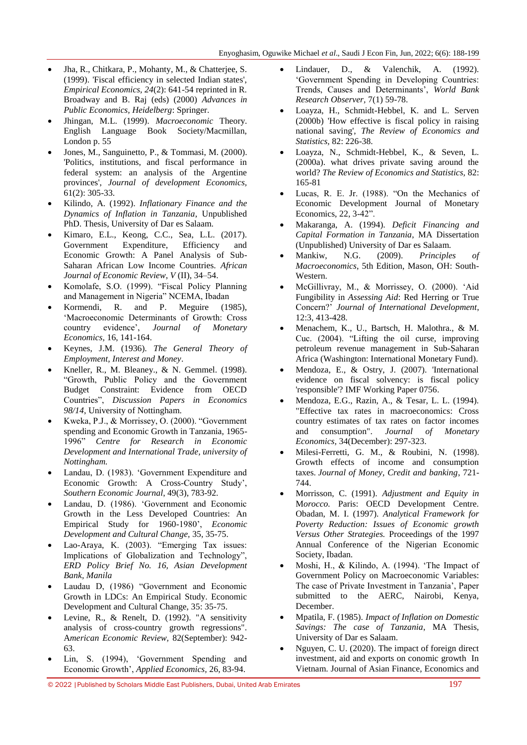- Jha, R., Chitkara, P., Mohanty, M., & Chatterjee, S. (1999). 'Fiscal efficiency in selected Indian states', *Empirical Economics, 24*(2): 641-54 reprinted in R. Broadway and B. Raj (eds) (2000) *Advances in Public Economics, Heidelberg*: Springer.
- Jhingan, M.L. (1999). *Macroeconomic* Theory. English Language Book Society/Macmillan, London p. 55
- Jones, M., Sanguinetto, P., & Tommasi, M. (2000). 'Politics, institutions, and fiscal performance in federal system: an analysis of the Argentine provinces', *Journal of development Economics,*  61(2): 305-33.
- Kilindo, A. (1992). *Inflationary Finance and the Dynamics of Inflation in Tanzania*, Unpublished PhD. Thesis, University of Dar es Salaam.
- Kimaro, E.L., Keong, C.C., Sea, L.L. (2017). Government Expenditure, Efficiency and Economic Growth: A Panel Analysis of Sub-Saharan African Low Income Countries. *African Journal of Economic Review*, *V* (II), 34–54.
- Komolafe, S.O. (1999). "Fiscal Policy Planning and Management in Nigeria" NCEMA, Ibadan
- Kormendi, R. and P. Meguire (1985), 'Macroeconomic Determinants of Growth: Cross country evidence", *Journal of Monetary Economics,* 16, 141-164.
- Keynes, J.M. (1936). *The General Theory of Employment, Interest and Money*.
- Kneller, R., M. Bleaney., & N. Gemmel. (1998). "Growth, Public Policy and the Government Budget Constraint: Evidence from OECD Countries", *Discussion Papers in Economics 98/14*, University of Nottingham.
- Kweka, P.J., & Morrissey, O. (2000). "Government spending and Economic Growth in Tanzania, 1965- 1996" *Centre for Research in Economic Development and International Trade, university of Nottingham.*
- Landau, D. (1983). "Government Expenditure and Economic Growth: A Cross-Country Study', *Southern Economic Journal*, 49(3), 783-92.
- Landau, D. (1986). "Government and Economic Growth in the Less Developed Countries: An Empirical Study for 1960-1980", *Economic Development and Cultural Change,* 35, 35-75.
- Lao-Araya, K. (2003). "Emerging Tax issues: Implications of Globalization and Technology", *ERD Policy Brief No. 16, Asian Development Bank, Manila*
- Laudau D, (1986) "Government and Economic Growth in LDCs: An Empirical Study. Economic Development and Cultural Change, 35: 35-75.
- Levine, R., & Renelt, D. (1992). "A sensitivity analysis of cross-country growth regressions". A*merican Economic Review,* 82(September): 942- 63.
- Lin, S. (1994), "Government Spending and Economic Growth", *Applied Economics,* 26, 83-94.
- Lindauer, D., & Valenchik, A. (1992). "Government Spending in Developing Countries: Trends, Causes and Determinants", *World Bank Research Observer,* 7(1) 59-78.
- Loayza, H., Schmidt-Hebbel, K. and L. Serven (2000b) 'How effective is fiscal policy in raising national saving', *The Review of Economics and Statistics,* 82: 226-38.
- Loayza, N., Schmidt-Hebbel, K., & Seven, L. (2000a). what drives private saving around the world? *The Review of Economics and Statistics,* 82: 165-81
- Lucas, R. E. Jr. (1988). "On the Mechanics of Economic Development Journal of Monetary Economics, 22, 3-42".
- Makaranga, A. (1994). *Deficit Financing and Capital Formation in Tanzania*, MA Dissertation (Unpublished) University of Dar es Salaam.
- Mankiw, N.G. (2009). *Principles of Macroeconomics*, 5th Edition, Mason, OH: South-Western.
- McGillivray, M., & Morrissey, O. (2000). "Aid Fungibility in *Assessing Aid*: Red Herring or True Concern?" *Journal of International Development*, 12:3, 413-428.
- Menachem, K., U., Bartsch, H. Malothra., & M. Cuc. (2004). "Lifting the oil curse, improving petroleum revenue management in Sub-Saharan Africa (Washington: International Monetary Fund).
- Mendoza, E., & Ostry, J. (2007). 'International evidence on fiscal solvency: is fiscal policy 'responsible'? IMF Working Paper 0756.
- Mendoza, E.G., Razin, A., & Tesar, L. L. (1994). "Effective tax rates in macroeconomics: Cross country estimates of tax rates on factor incomes and consumption". *Journal of Monetary Economics,* 34(December): 297-323.
- Milesi-Ferretti, G. M., & Roubini, N. (1998). Growth effects of income and consumption taxes. *Journal of Money, Credit and banking*, 721- 744.
- Morrisson, C. (1991). *Adjustment and Equity in*  M*orocco.* Paris: OECD Development Centre. Obadan, M. I. (1997). *Analytical Framework for Poverty Reduction: Issues of Economic growth Versus Other Strategies.* Proceedings of the 1997 Annual Conference of the Nigerian Economic Society, Ibadan.
- Moshi, H., & Kilindo, A. (1994). "The Impact of Government Policy on Macroeconomic Variables: The case of Private Investment in Tanzania", Paper submitted to the AERC, Nairobi, Kenya, December.
- Mpatila, F. (1985). *Impact of Inflation on Domestic Savings: The case of Tanzania*, MA Thesis, University of Dar es Salaam.
- Nguyen, C. U. (2020). The impact of foreign direct investment, aid and exports on conomic growth In Vietnam. Journal of Asian Finance, Economics and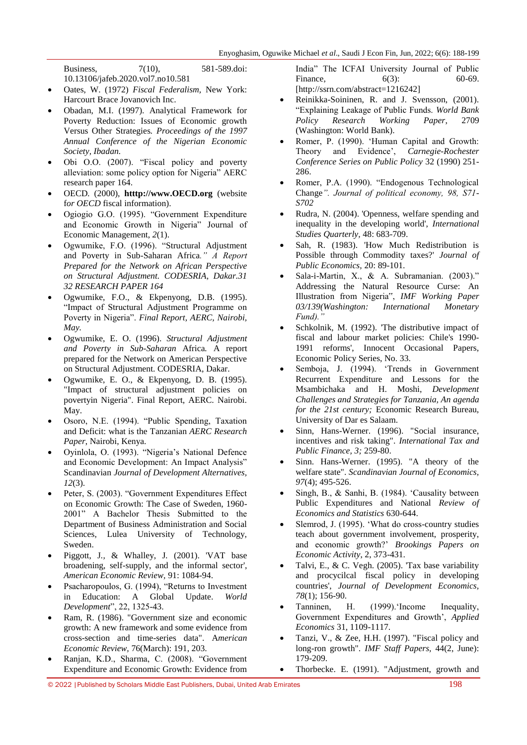Business, 7(10), 581-589.doi: 10.13106/jafeb.2020.vol7.no10.581

- Oates, W. (1972) *Fiscal Federalism,* New York: Harcourt Brace Jovanovich Inc.
- Obadan, M.I. (1997). Analytical Framework for Poverty Reduction: Issues of Economic growth Versus Other Strategies*. Proceedings of the 1997 Annual Conference of the Nigerian Economic Society, Ibadan.*
- Obi O.O. (2007). "Fiscal policy and poverty alleviation: some policy option for Nigeria" AERC research paper 164.
- OECD*.* (2000), **htttp://www.OECD.org** (website f*or OECD* fiscal information).
- Ogiogio G.O. (1995). "Government Expenditure and Economic Growth in Nigeria" Journal of Economic Management, *2*(1).
- Ogwumike, F.O. (1996). "Structural Adjustment and Poverty in Sub-Saharan Africa*." A Report Prepared for the Network on African Perspective on Structural Adjustment. CODESRIA, Dakar.31 32 RESEARCH PAPER 164*
- Ogwumike, F.O., & Ekpenyong, D.B. (1995). "Impact of Structural Adjustment Programme on Poverty in Nigeria". *Final Report, AERC, Nairobi, May.*
- Ogwumike, E. O. (1996). *Structural Adjustment and Poverty in Sub-Saharan* Africa*.* A report prepared for the Network on American Perspective on Structural Adjustment. CODESRIA, Dakar.
- Ogwumike, E. O., & Ekpenyong, D. B. (1995). "Impact of structural adjustment policies on povertyin Nigeria". Final Report, AERC. Nairobi. May.
- Osoro, N.E. (1994). "Public Spending, Taxation and Deficit: what is the Tanzanian *AERC Research Paper*, Nairobi, Kenya.
- Oyinlola, O. (1993). "Nigeria"s National Defence and Economic Development: An Impact Analysis" Scandinavian *Journal of Development Alternatives, 12*(3).
- Peter, S. (2003). "Government Expenditures Effect on Economic Growth: The Case of Sweden, 1960- 2001" A Bachelor Thesis Submitted to the Department of Business Administration and Social Sciences, Lulea University of Technology, Sweden.
- Piggott, J*.,* & Whalley, J*.* (2001). 'VAT base broadening, self-supply, and the informal sector', *American Economic Review,* 91: 1084-94.
- Psacharopoulos, G. (1994), "Returns to Investment in Education: A Global Update. *World Development*", 22, 1325-43.
- Ram, R. (1986). "Government size and economic growth: A new framework and some evidence from cross-section and time-series data". A*merican Economic Review,* 76(March): 191, 203.
- Ranjan, K.D., Sharma, C. (2008). "Government Expenditure and Economic Growth: Evidence from

India" The ICFAI University Journal of Public Finance, 6(3): 60-69. [http://ssrn.com/abstract=1216242]

- Reinikka-Soininen, R. and J. Svensson, (2001). "Explaining Leakage of Public Funds. *World Bank Policy Research Working Paper*, 2709 (Washington: World Bank).
- Romer, P. (1990). "Human Capital and Growth: Theory and Evidence", *Carnegie-Rochester Conference Series on Public Policy* 32 (1990) 251- 286.
- Romer, P.A. (1990). "Endogenous Technological Change*". Journal of political economy, 98, S71- S702*
- Rudra, N. (2004). 'Openness, welfare spending and inequality in the developing world', *International Studies Quarterly,* 48: 683-709.
- Sah, R. (1983). 'How Much Redistribution is Possible through Commodity taxes?' *Journal of Public Economics,* 20: 89-101.
- Sala-i-Martin, X., & A. Subramanian. (2003)." Addressing the Natural Resource Curse: An Illustration from Nigeria", *IMF Working Paper 03/139(Washington: International Monetary Fund)."*
- Schkolnik, M. (1992). 'The distributive impact of fiscal and labour market policies: Chile's 1990- 1991 reforms', Innocent Occasional Papers, Economic Policy Series, No. 33.
- Semboja, J. (1994). "Trends in Government Recurrent Expenditure and Lessons for the Msambichaka and H. Moshi, *Development Challenges and Strategies for Tanzania, An agenda for the 21st century;* Economic Research Bureau, University of Dar es Salaam.
- Sinn, Hans-Werner. (1996). "Social insurance, incentives and risk taking". *International Tax and Public Finance, 3;* 259-80.
- Sinn. Hans-Werner. (1995). "A theory of the welfare state". *Scandinavian Journal of Economics, 97*(4); 495-526.
- Singh, B., & Sanhi, B. (1984). "Causality between Public Expenditures and National *Review of Economics and Statistics* 630-644.
- Slemrod, J. (1995). "What do cross-country studies teach about government involvement, prosperity, and economic growth?" *Brookings Papers on Economic Activity*, 2, 373-431.
- Talvi, E., & C. Vegh. (2005). 'Tax base variability and procycilcal fiscal policy in developing countries', *Journal of Development Economics, 78*(1); 156-90.
- Tanninen, H. (1999). Income Inequality, Government Expenditures and Growth', *Applied Economics* 31, 1109-1117.
- Tanzi, V., & Zee, H.H. (1997). "Fiscal policy and long-ron growth". *IMF Staff Papers,* 44(2, June): 179-209.
	- Thorbecke. E. (1991). "Adjustment, growth and